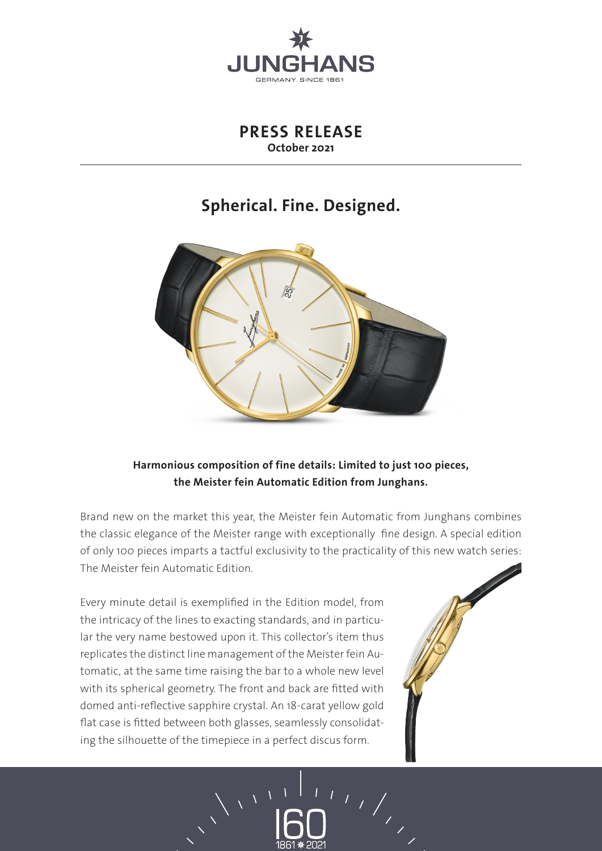

**PRESS RELEASE October 2021**

## **Spherical. Fine. Designed.**



**Harmonious composition of fine details: Limited to just 100 pieces, the Meister fein Automatic Edition from Junghans.** 

Brand new on the market this year, the Meister fein Automatic from Junghans combines the classic elegance of the Meister range with exceptionally fine design. A special edition of only 100 pieces imparts a tactful exclusivity to the practicality of this new watch series: The Meister fein Automatic Edition.

Every minute detail is exemplified in the Edition model, from the intricacy of the lines to exacting standards, and in particular the very name bestowed upon it. This collector's item thus replicates the distinct line management of the Meister fein Automatic, at the same time raising the bar to a whole new level with its spherical geometry. The front and back are fitted with domed anti-reflective sapphire crystal. An 18-carat yellow gold flat case is fitted between both glasses, seamlessly consolidating the silhouette of the timepiece in a perfect discus form.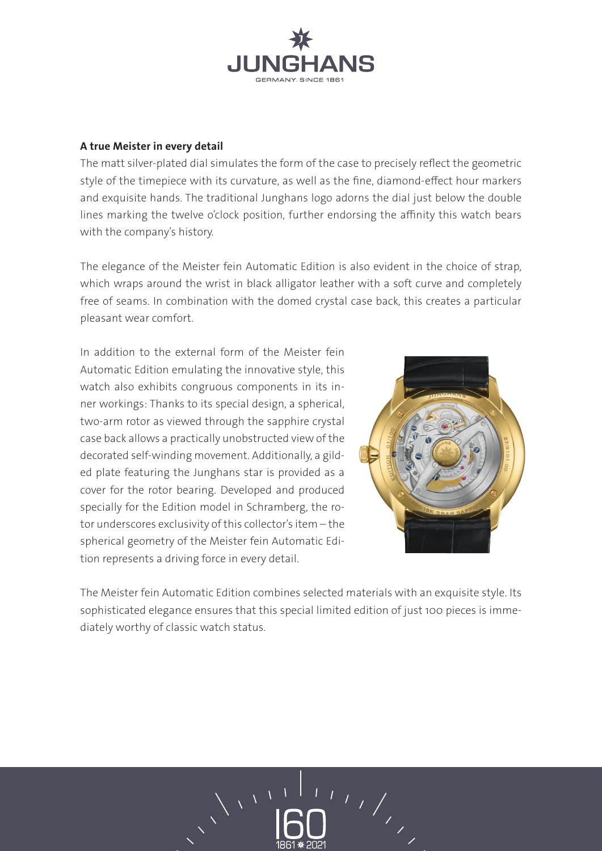

## **A true Meister in every detail**

The matt silver-plated dial simulates the form of the case to precisely reflect the geometric style of the timepiece with its curvature, as well as the fine, diamond-effect hour markers and exquisite hands. The traditional Junghans logo adorns the dial just below the double lines marking the twelve o'clock position, further endorsing the affinity this watch bears with the company's history.

The elegance of the Meister fein Automatic Edition is also evident in the choice of strap, which wraps around the wrist in black alligator leather with a soft curve and completely free of seams. In combination with the domed crystal case back, this creates a particular pleasant wear comfort.

In addition to the external form of the Meister fein Automatic Edition emulating the innovative style, this watch also exhibits congruous components in its inner workings: Thanks to its special design, a spherical, two-arm rotor as viewed through the sapphire crystal case back allows a practically unobstructed view of the decorated self-winding movement. Additionally, a gilded plate featuring the Junghans star is provided as a cover for the rotor bearing. Developed and produced specially for the Edition model in Schramberg, the rotor underscores exclusivity of this collector's item – the spherical geometry of the Meister fein Automatic Edition represents a driving force in every detail.



The Meister fein Automatic Edition combines selected materials with an exquisite style. Its sophisticated elegance ensures that this special limited edition of just 100 pieces is immediately worthy of classic watch status.